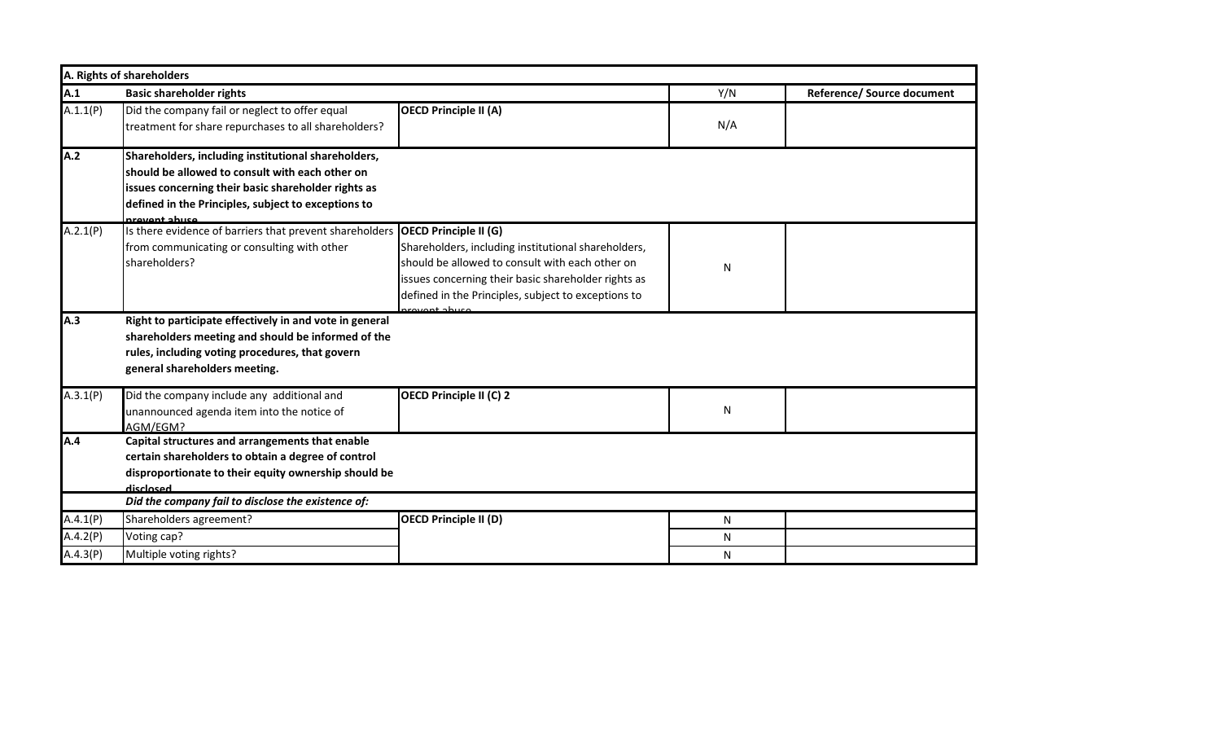|          | A. Rights of shareholders                                                                                                                                                                                                             |                                                                                                                                                                                                                                                                      |     |                            |  |
|----------|---------------------------------------------------------------------------------------------------------------------------------------------------------------------------------------------------------------------------------------|----------------------------------------------------------------------------------------------------------------------------------------------------------------------------------------------------------------------------------------------------------------------|-----|----------------------------|--|
| A.1      | <b>Basic shareholder rights</b>                                                                                                                                                                                                       |                                                                                                                                                                                                                                                                      | Y/N | Reference/ Source document |  |
| A.1.1(P) | Did the company fail or neglect to offer equal<br>treatment for share repurchases to all shareholders?                                                                                                                                | <b>OECD Principle II (A)</b>                                                                                                                                                                                                                                         | N/A |                            |  |
| A.2      | Shareholders, including institutional shareholders,<br>should be allowed to consult with each other on<br>issues concerning their basic shareholder rights as<br>defined in the Principles, subject to exceptions to<br>provent abuse |                                                                                                                                                                                                                                                                      |     |                            |  |
| A.2.1(P) | Is there evidence of barriers that prevent shareholders<br>from communicating or consulting with other<br>shareholders?                                                                                                               | <b>OECD Principle II (G)</b><br>Shareholders, including institutional shareholders,<br>should be allowed to consult with each other on<br>issues concerning their basic shareholder rights as<br>defined in the Principles, subject to exceptions to<br>royant abuca | N   |                            |  |
| A.3      | Right to participate effectively in and vote in general<br>shareholders meeting and should be informed of the<br>rules, including voting procedures, that govern<br>general shareholders meeting.                                     |                                                                                                                                                                                                                                                                      |     |                            |  |
| A.3.1(P) | Did the company include any additional and<br>unannounced agenda item into the notice of<br>AGM/EGM?                                                                                                                                  | <b>OECD Principle II (C) 2</b>                                                                                                                                                                                                                                       | N   |                            |  |
| A.4      | Capital structures and arrangements that enable<br>certain shareholders to obtain a degree of control<br>disproportionate to their equity ownership should be<br>disclosed                                                            |                                                                                                                                                                                                                                                                      |     |                            |  |
|          | Did the company fail to disclose the existence of:                                                                                                                                                                                    |                                                                                                                                                                                                                                                                      |     |                            |  |
| A.4.1(P) | Shareholders agreement?                                                                                                                                                                                                               | <b>OECD Principle II (D)</b>                                                                                                                                                                                                                                         | N   |                            |  |
| A.4.2(P) | Voting cap?                                                                                                                                                                                                                           |                                                                                                                                                                                                                                                                      | N   |                            |  |
| A.4.3(P) | Multiple voting rights?                                                                                                                                                                                                               |                                                                                                                                                                                                                                                                      | N   |                            |  |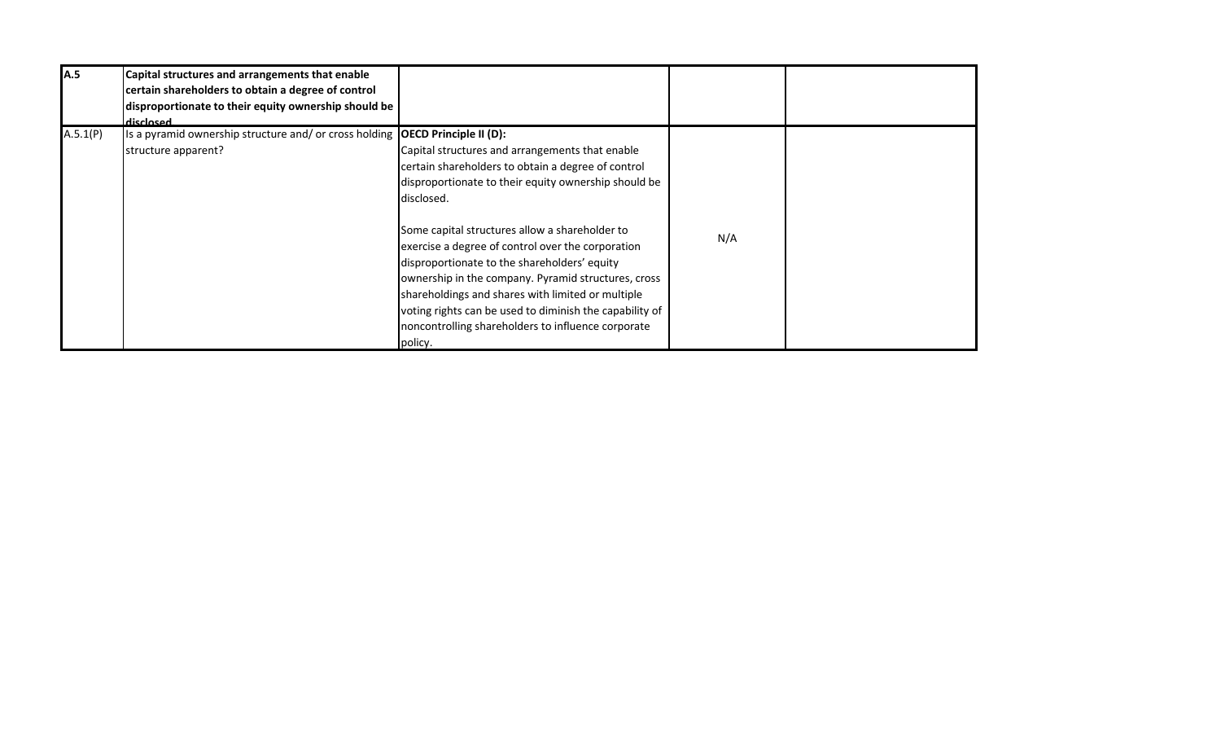| A.5      | Capital structures and arrangements that enable<br>certain shareholders to obtain a degree of control<br>disproportionate to their equity ownership should be<br>disclosed |                                                                                                                                                                                                                                                                                                                                    |     |  |
|----------|----------------------------------------------------------------------------------------------------------------------------------------------------------------------------|------------------------------------------------------------------------------------------------------------------------------------------------------------------------------------------------------------------------------------------------------------------------------------------------------------------------------------|-----|--|
| A.5.1(P) | Is a pyramid ownership structure and/ or cross holding $\overline{OECD}$ Principle II (D):<br>structure apparent?                                                          | Capital structures and arrangements that enable<br>certain shareholders to obtain a degree of control<br>disproportionate to their equity ownership should be<br>disclosed.<br>Some capital structures allow a shareholder to<br>exercise a degree of control over the corporation<br>disproportionate to the shareholders' equity | N/A |  |
|          |                                                                                                                                                                            | ownership in the company. Pyramid structures, cross<br>shareholdings and shares with limited or multiple<br>voting rights can be used to diminish the capability of<br>noncontrolling shareholders to influence corporate<br>policy.                                                                                               |     |  |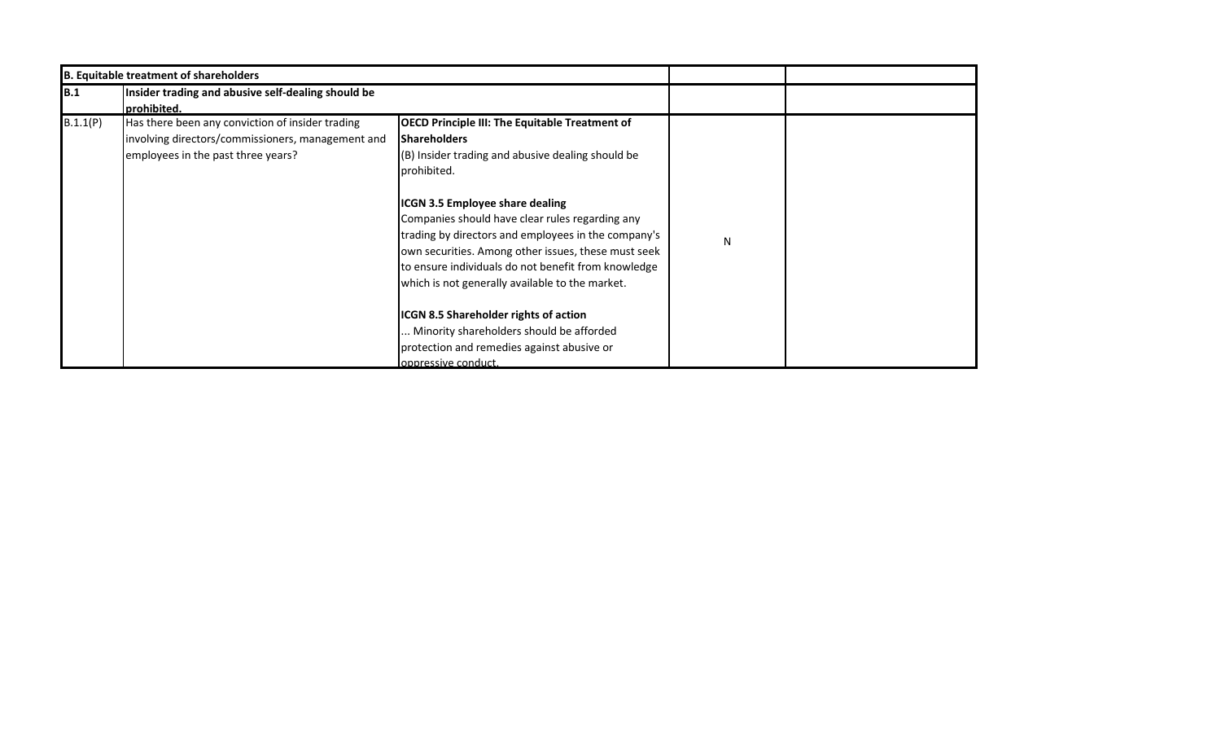|            | <b>B. Equitable treatment of shareholders</b>                                                                                               |                                                                                                                                                                                                                                                                                                                                                                                                                                                                       |   |  |
|------------|---------------------------------------------------------------------------------------------------------------------------------------------|-----------------------------------------------------------------------------------------------------------------------------------------------------------------------------------------------------------------------------------------------------------------------------------------------------------------------------------------------------------------------------------------------------------------------------------------------------------------------|---|--|
| <b>B.1</b> | Insider trading and abusive self-dealing should be<br>prohibited.                                                                           |                                                                                                                                                                                                                                                                                                                                                                                                                                                                       |   |  |
| B.1.1(P)   | Has there been any conviction of insider trading<br>involving directors/commissioners, management and<br>employees in the past three years? | <b>OECD Principle III: The Equitable Treatment of</b><br><b>Shareholders</b><br>(B) Insider trading and abusive dealing should be<br>prohibited.<br><b>ICGN 3.5 Employee share dealing</b><br>Companies should have clear rules regarding any<br>trading by directors and employees in the company's<br>own securities. Among other issues, these must seek<br>to ensure individuals do not benefit from knowledge<br>which is not generally available to the market. | N |  |
|            |                                                                                                                                             | ICGN 8.5 Shareholder rights of action<br>Minority shareholders should be afforded<br>protection and remedies against abusive or<br>oppressive conduct.                                                                                                                                                                                                                                                                                                                |   |  |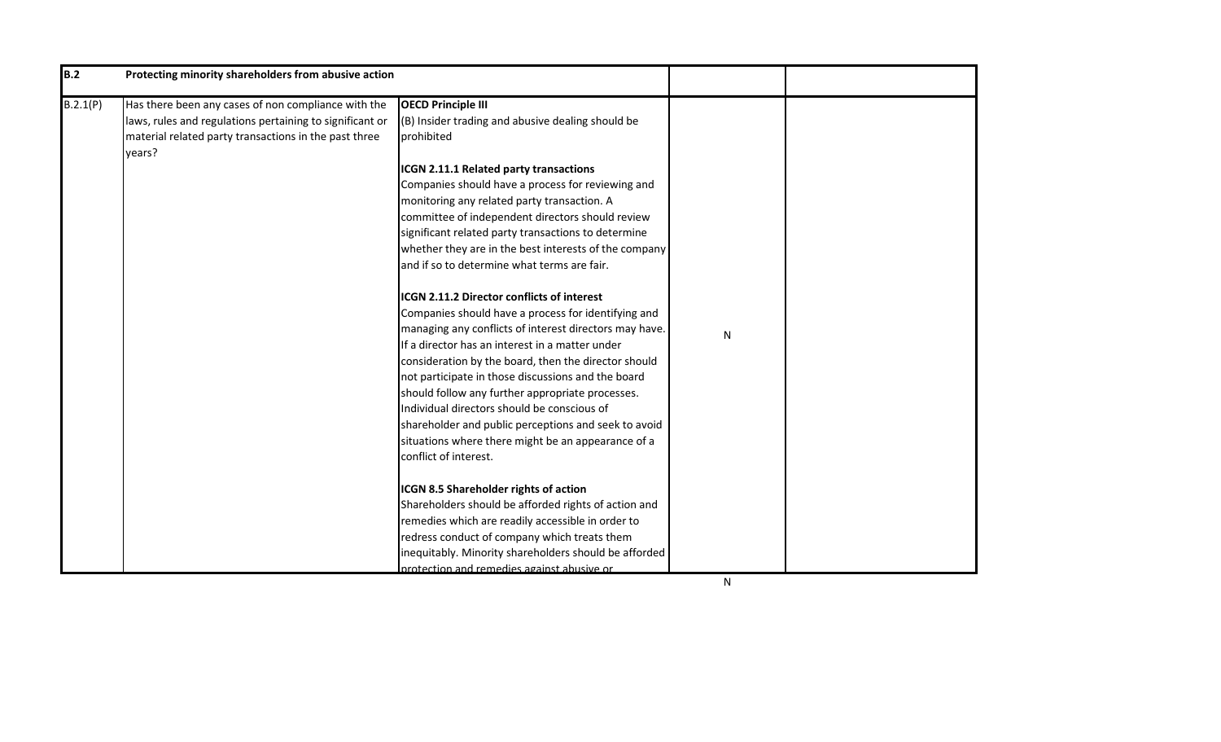| B.2      | Protecting minority shareholders from abusive action                                                                                                                               |                                                                                                                                                                                                                                                                                                                                                                                                                                                                                                                          |              |
|----------|------------------------------------------------------------------------------------------------------------------------------------------------------------------------------------|--------------------------------------------------------------------------------------------------------------------------------------------------------------------------------------------------------------------------------------------------------------------------------------------------------------------------------------------------------------------------------------------------------------------------------------------------------------------------------------------------------------------------|--------------|
| B.2.1(P) | Has there been any cases of non compliance with the<br>laws, rules and regulations pertaining to significant or<br>material related party transactions in the past three<br>years? | <b>OECD Principle III</b><br>(B) Insider trading and abusive dealing should be<br>prohibited<br>ICGN 2.11.1 Related party transactions<br>Companies should have a process for reviewing and<br>monitoring any related party transaction. A<br>committee of independent directors should review<br>significant related party transactions to determine<br>whether they are in the best interests of the company<br>and if so to determine what terms are fair.<br>ICGN 2.11.2 Director conflicts of interest              |              |
|          |                                                                                                                                                                                    | Companies should have a process for identifying and<br>managing any conflicts of interest directors may have.<br>If a director has an interest in a matter under<br>consideration by the board, then the director should<br>not participate in those discussions and the board<br>should follow any further appropriate processes.<br>Individual directors should be conscious of<br>shareholder and public perceptions and seek to avoid<br>situations where there might be an appearance of a<br>conflict of interest. | ${\sf N}$    |
|          |                                                                                                                                                                                    | ICGN 8.5 Shareholder rights of action<br>Shareholders should be afforded rights of action and<br>remedies which are readily accessible in order to<br>redress conduct of company which treats them<br>inequitably. Minority shareholders should be afforded<br>protection and remedies against abusive or                                                                                                                                                                                                                | $\mathsf{N}$ |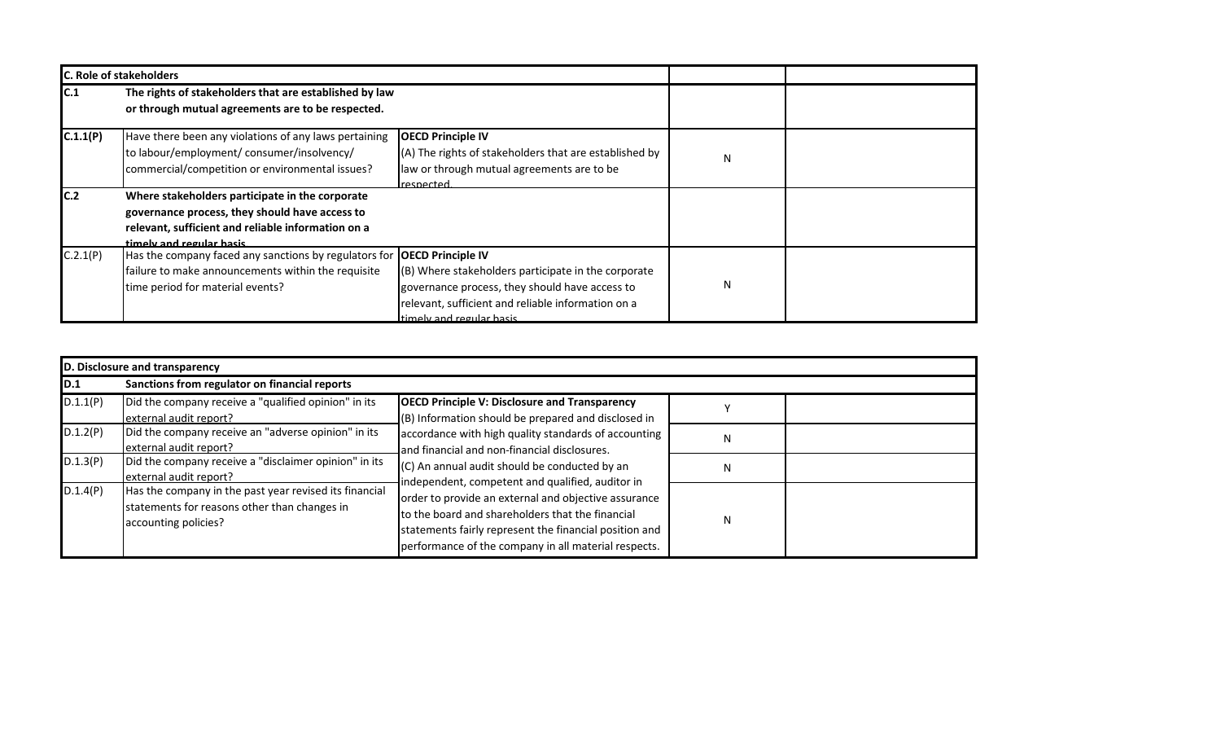|          | <b>C. Role of stakeholders</b>                                                                                                                                                       |                                                                                                                                                                                         |   |  |
|----------|--------------------------------------------------------------------------------------------------------------------------------------------------------------------------------------|-----------------------------------------------------------------------------------------------------------------------------------------------------------------------------------------|---|--|
| C.1      | The rights of stakeholders that are established by law<br>or through mutual agreements are to be respected.                                                                          |                                                                                                                                                                                         |   |  |
| C.1.1(P) | Have there been any violations of any laws pertaining<br>to labour/employment/ consumer/insolvency/<br>commercial/competition or environmental issues?                               | <b>OECD Principle IV</b><br>(A) The rights of stakeholders that are established by<br>law or through mutual agreements are to be<br>respected                                           | N |  |
| C.2      | Where stakeholders participate in the corporate<br>governance process, they should have access to<br>relevant, sufficient and reliable information on a<br>timely and regular hasis. |                                                                                                                                                                                         |   |  |
| C.2.1(P) | Has the company faced any sanctions by regulators for <b> OECD Principle IV</b><br>failure to make announcements within the requisite<br>time period for material events?            | (B) Where stakeholders participate in the corporate<br>governance process, they should have access to<br>relevant, sufficient and reliable information on a<br>timely and requier hasis | N |  |

|          | D. Disclosure and transparency                                                                                                 |                                                                                                                                                                                                                                                                                                                                                                                                                                         |   |  |  |
|----------|--------------------------------------------------------------------------------------------------------------------------------|-----------------------------------------------------------------------------------------------------------------------------------------------------------------------------------------------------------------------------------------------------------------------------------------------------------------------------------------------------------------------------------------------------------------------------------------|---|--|--|
| D.1      | Sanctions from regulator on financial reports                                                                                  |                                                                                                                                                                                                                                                                                                                                                                                                                                         |   |  |  |
| D.1.1(P) | Did the company receive a "qualified opinion" in its<br>external audit report?                                                 | <b>OECD Principle V: Disclosure and Transparency</b><br>$($ B) Information should be prepared and disclosed in                                                                                                                                                                                                                                                                                                                          |   |  |  |
| D.1.2(P) | Did the company receive an "adverse opinion" in its<br>external audit report?                                                  | accordance with high quality standards of accounting<br>and financial and non-financial disclosures.<br>(C) An annual audit should be conducted by an<br>independent, competent and qualified, auditor in<br>order to provide an external and objective assurance<br>to the board and shareholders that the financial<br>statements fairly represent the financial position and<br>performance of the company in all material respects. | N |  |  |
| D.1.3(P) | Did the company receive a "disclaimer opinion" in its<br>external audit report?                                                |                                                                                                                                                                                                                                                                                                                                                                                                                                         | N |  |  |
| D.1.4(P) | Has the company in the past year revised its financial<br>statements for reasons other than changes in<br>accounting policies? |                                                                                                                                                                                                                                                                                                                                                                                                                                         | N |  |  |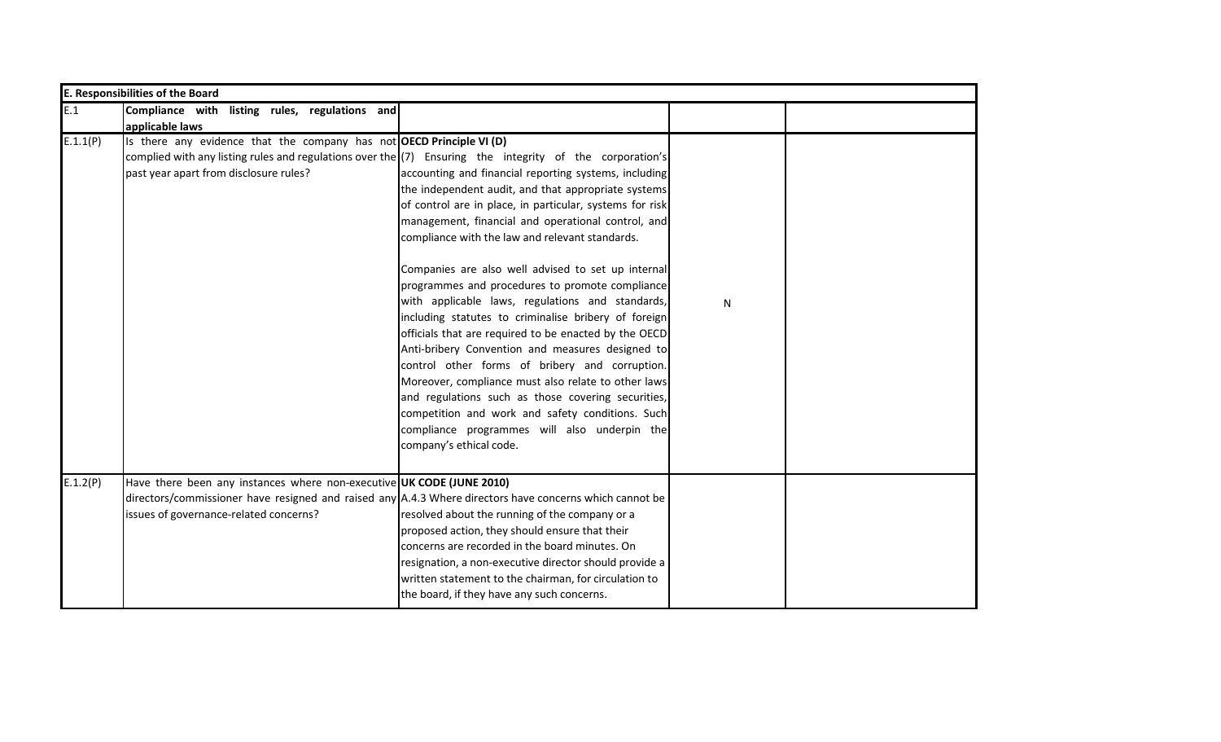| <b>E. Responsibilities of the Board</b> |                                                                                                                                                                                                                                               |                                                                                                                                                                                                                                                                                                                                                                                                                                                                                                                                                                                                                                                                                                                                                                                                                                                                                                                   |              |  |  |
|-----------------------------------------|-----------------------------------------------------------------------------------------------------------------------------------------------------------------------------------------------------------------------------------------------|-------------------------------------------------------------------------------------------------------------------------------------------------------------------------------------------------------------------------------------------------------------------------------------------------------------------------------------------------------------------------------------------------------------------------------------------------------------------------------------------------------------------------------------------------------------------------------------------------------------------------------------------------------------------------------------------------------------------------------------------------------------------------------------------------------------------------------------------------------------------------------------------------------------------|--------------|--|--|
| E.1                                     | Compliance with listing rules, regulations and                                                                                                                                                                                                |                                                                                                                                                                                                                                                                                                                                                                                                                                                                                                                                                                                                                                                                                                                                                                                                                                                                                                                   |              |  |  |
| E.1.1(P)                                | applicable laws<br>Is there any evidence that the company has not OECD Principle VI (D)<br>complied with any listing rules and regulations over the (7) Ensuring the integrity of the corporation's<br>past year apart from disclosure rules? | accounting and financial reporting systems, including<br>the independent audit, and that appropriate systems<br>of control are in place, in particular, systems for risk<br>management, financial and operational control, and<br>compliance with the law and relevant standards.<br>Companies are also well advised to set up internal<br>programmes and procedures to promote compliance<br>with applicable laws, regulations and standards,<br>including statutes to criminalise bribery of foreign<br>officials that are required to be enacted by the OECD<br>Anti-bribery Convention and measures designed to<br>control other forms of bribery and corruption.<br>Moreover, compliance must also relate to other laws<br>and regulations such as those covering securities,<br>competition and work and safety conditions. Such<br>compliance programmes will also underpin the<br>company's ethical code. | $\mathsf{N}$ |  |  |
| E.1.2(P)                                | Have there been any instances where non-executive UK CODE (JUNE 2010)<br>directors/commissioner have resigned and raised any $A.4.3$ Where directors have concerns which cannot be<br>issues of governance-related concerns?                  | resolved about the running of the company or a<br>proposed action, they should ensure that their<br>concerns are recorded in the board minutes. On<br>resignation, a non-executive director should provide a<br>written statement to the chairman, for circulation to<br>the board, if they have any such concerns.                                                                                                                                                                                                                                                                                                                                                                                                                                                                                                                                                                                               |              |  |  |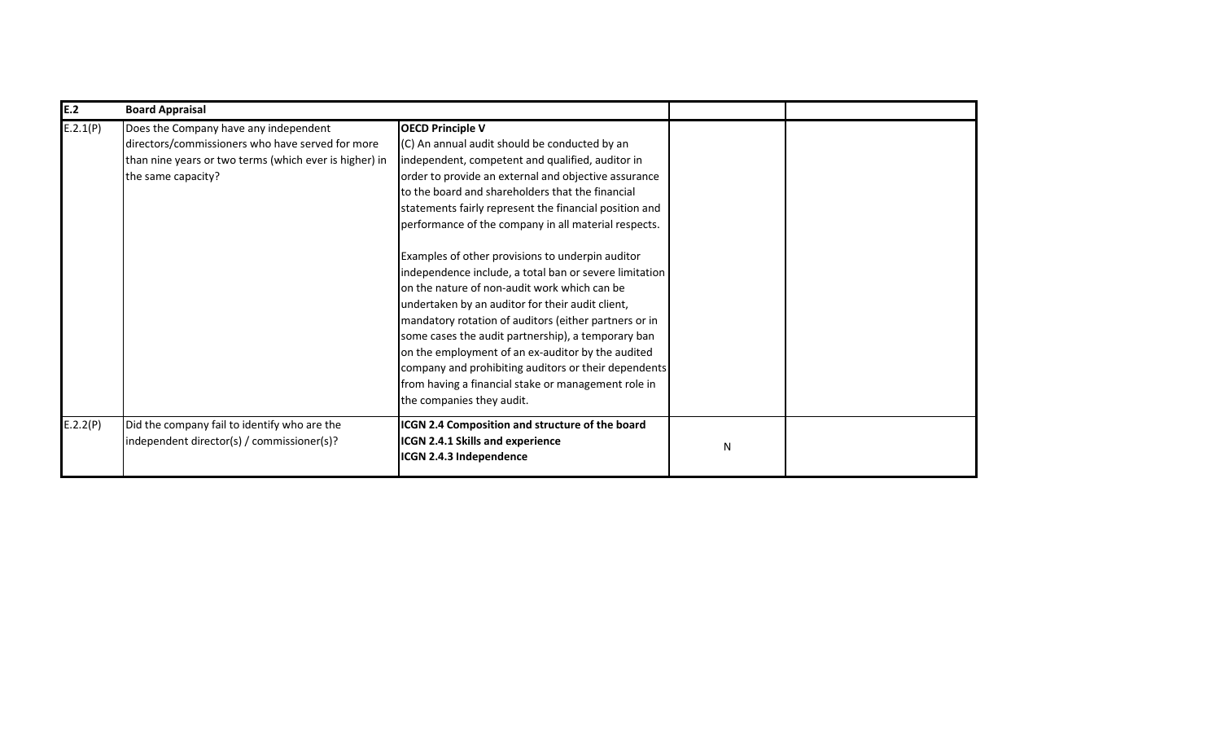| E.2      | <b>Board Appraisal</b>                                                                                                                                                    |                                                                                                                                                                                                                                                                                                                                                                                                                                                                                                                                                                                                                                                                                                                                                                                                                                                                                              |   |  |
|----------|---------------------------------------------------------------------------------------------------------------------------------------------------------------------------|----------------------------------------------------------------------------------------------------------------------------------------------------------------------------------------------------------------------------------------------------------------------------------------------------------------------------------------------------------------------------------------------------------------------------------------------------------------------------------------------------------------------------------------------------------------------------------------------------------------------------------------------------------------------------------------------------------------------------------------------------------------------------------------------------------------------------------------------------------------------------------------------|---|--|
| E.2.1(P) | Does the Company have any independent<br>directors/commissioners who have served for more<br>than nine years or two terms (which ever is higher) in<br>the same capacity? | <b>OECD Principle V</b><br>(C) An annual audit should be conducted by an<br>independent, competent and qualified, auditor in<br>order to provide an external and objective assurance<br>to the board and shareholders that the financial<br>statements fairly represent the financial position and<br>performance of the company in all material respects.<br>Examples of other provisions to underpin auditor<br>independence include, a total ban or severe limitation<br>on the nature of non-audit work which can be<br>undertaken by an auditor for their audit client,<br>mandatory rotation of auditors (either partners or in<br>some cases the audit partnership), a temporary ban<br>on the employment of an ex-auditor by the audited<br>company and prohibiting auditors or their dependents<br>from having a financial stake or management role in<br>the companies they audit. |   |  |
| E.2.2(P) | Did the company fail to identify who are the<br>independent director(s) / commissioner(s)?                                                                                | ICGN 2.4 Composition and structure of the board<br><b>ICGN 2.4.1 Skills and experience</b><br>ICGN 2.4.3 Independence                                                                                                                                                                                                                                                                                                                                                                                                                                                                                                                                                                                                                                                                                                                                                                        | N |  |